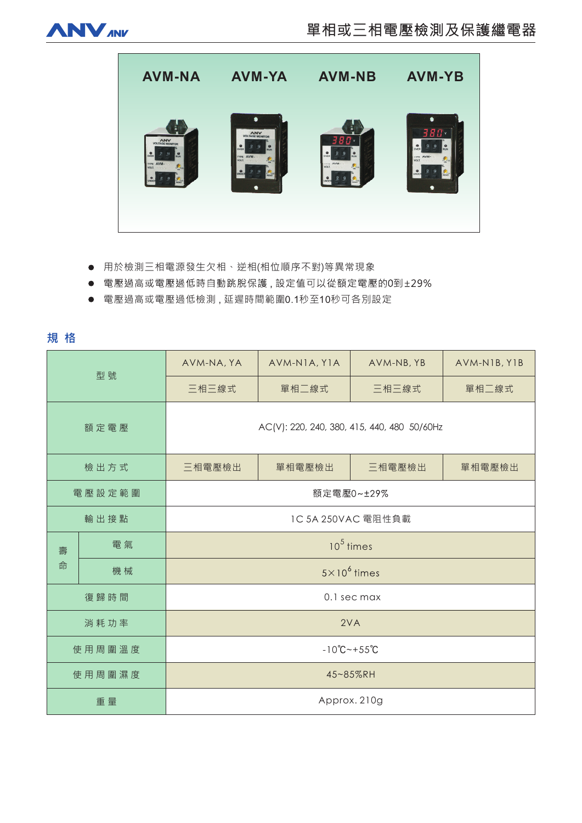



- 用於檢測三相電源發生欠相、逆相(相位順序不對)等異常現象
- 電壓過高或電壓過低時自動跳脫保護,設定值可以從額定電壓的0到±29%
- 電壓過高或電壓過低檢測,延遲時間範圍0.1秒至10秒可各別設定

規格

| 型號     |    | AVM-NA, YA                                  | AVM-NIA, YIA | AVM-NB, YB | AVM-NIB, YIB |
|--------|----|---------------------------------------------|--------------|------------|--------------|
|        |    | 三相三線式                                       | 單相二線式        | 三相三線式      | 單相二線式        |
| 額定電壓   |    | AC(V): 220, 240, 380, 415, 440, 480 50/60Hz |              |            |              |
| 檢出方式   |    | 三相電壓檢出                                      | 單相電壓檢出       | 三相電壓檢出     | 單相電壓檢出       |
| 電壓設定範圍 |    | 額定電壓0~±29%                                  |              |            |              |
| 輸出接點   |    | 1C 5A 250VAC 電阻性負載                          |              |            |              |
| 壽<br>命 | 電氣 | $105$ times                                 |              |            |              |
|        | 機械 | $5 \times 10^6$ times                       |              |            |              |
| 復歸時間   |    | 0.1 sec max                                 |              |            |              |
| 消耗功率   |    | 2VA                                         |              |            |              |
| 使用周圍溫度 |    | $-10^{\circ}C - +55^{\circ}C$               |              |            |              |
| 使用周圍濕度 |    | 45~85%RH                                    |              |            |              |
| 重量     |    | Approx. 210g                                |              |            |              |